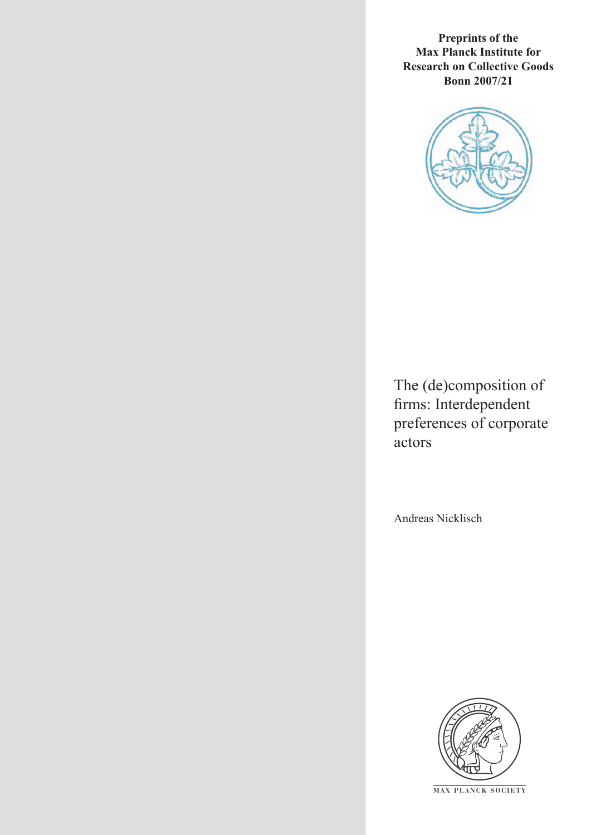**Preprints of the Max Planck Institute for Research on Collective Goods Bonn 2007/21**



The (de)composition of firms: Interdependent preferences of corporate actors

Andreas Nicklisch



**M AX P L A N C K S O C I E T Y**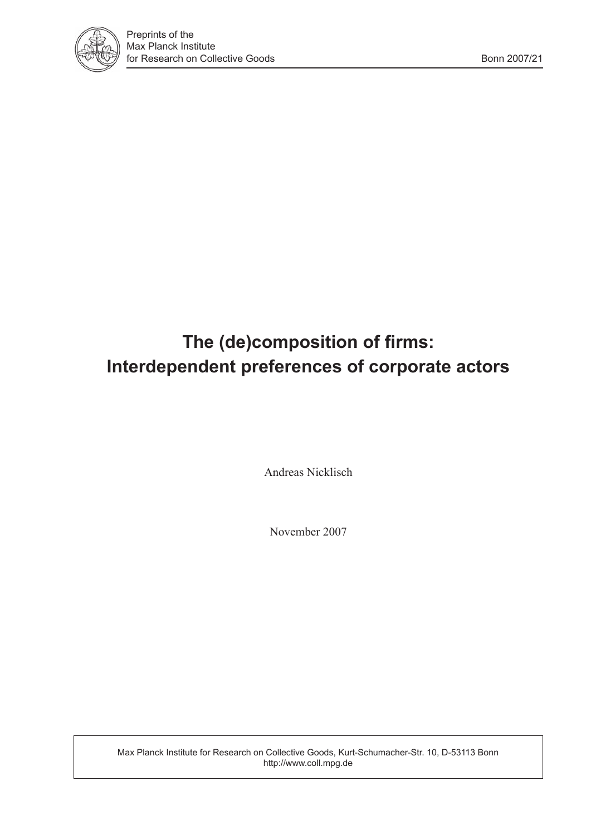

# **The (de)composition of firms: Interdependent preferences of corporate actors**

Andreas Nicklisch

November 2007

Max Planck Institute for Research on Collective Goods, Kurt-Schumacher-Str. 10, D-53113 Bonn http://www.coll.mpg.de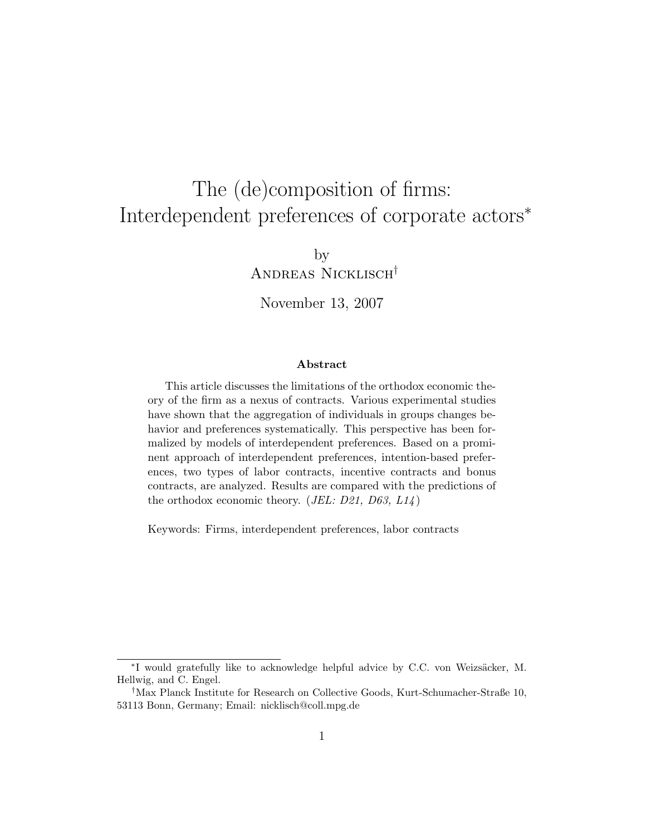# The (de)composition of firms: Interdependent preferences of corporate actors<sup>∗</sup>

by Andreas Nicklisch†

November 13, 2007

#### Abstract

This article discusses the limitations of the orthodox economic theory of the firm as a nexus of contracts. Various experimental studies have shown that the aggregation of individuals in groups changes behavior and preferences systematically. This perspective has been formalized by models of interdependent preferences. Based on a prominent approach of interdependent preferences, intention-based preferences, two types of labor contracts, incentive contracts and bonus contracts, are analyzed. Results are compared with the predictions of the orthodox economic theory. (*JEL: D21*, *D63*,  $L14$ )

Keywords: Firms, interdependent preferences, labor contracts

<sup>\*</sup>I would gratefully like to acknowledge helpful advice by C.C. von Weizsäcker, M. Hellwig, and C. Engel.

<sup>†</sup>Max Planck Institute for Research on Collective Goods, Kurt-Schumacher-Straße 10, 53113 Bonn, Germany; Email: nicklisch@coll.mpg.de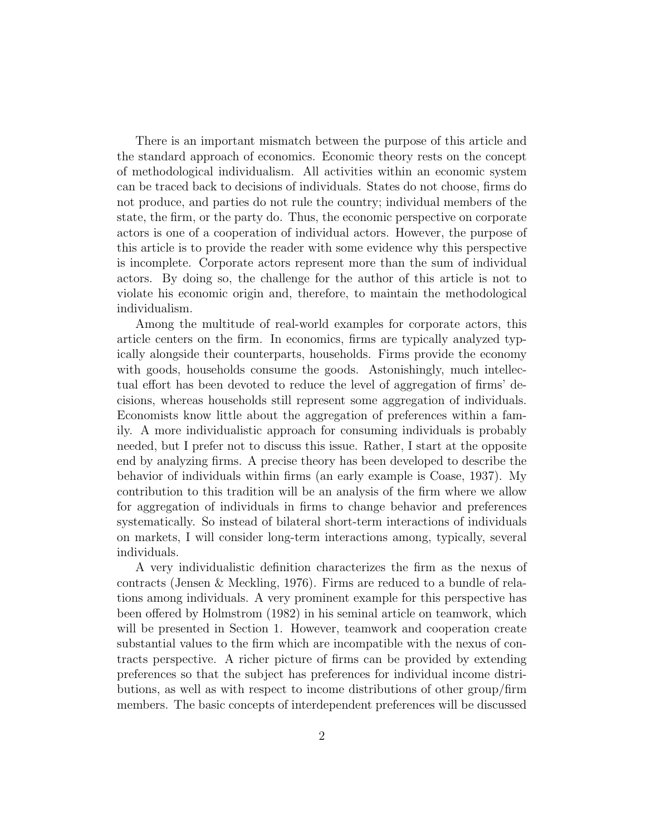There is an important mismatch between the purpose of this article and the standard approach of economics. Economic theory rests on the concept of methodological individualism. All activities within an economic system can be traced back to decisions of individuals. States do not choose, firms do not produce, and parties do not rule the country; individual members of the state, the firm, or the party do. Thus, the economic perspective on corporate actors is one of a cooperation of individual actors. However, the purpose of this article is to provide the reader with some evidence why this perspective is incomplete. Corporate actors represent more than the sum of individual actors. By doing so, the challenge for the author of this article is not to violate his economic origin and, therefore, to maintain the methodological individualism.

Among the multitude of real-world examples for corporate actors, this article centers on the firm. In economics, firms are typically analyzed typically alongside their counterparts, households. Firms provide the economy with goods, households consume the goods. Astonishingly, much intellectual effort has been devoted to reduce the level of aggregation of firms' decisions, whereas households still represent some aggregation of individuals. Economists know little about the aggregation of preferences within a family. A more individualistic approach for consuming individuals is probably needed, but I prefer not to discuss this issue. Rather, I start at the opposite end by analyzing firms. A precise theory has been developed to describe the behavior of individuals within firms (an early example is Coase, 1937). My contribution to this tradition will be an analysis of the firm where we allow for aggregation of individuals in firms to change behavior and preferences systematically. So instead of bilateral short-term interactions of individuals on markets, I will consider long-term interactions among, typically, several individuals.

A very individualistic definition characterizes the firm as the nexus of contracts (Jensen & Meckling, 1976). Firms are reduced to a bundle of relations among individuals. A very prominent example for this perspective has been offered by Holmstrom (1982) in his seminal article on teamwork, which will be presented in Section 1. However, teamwork and cooperation create substantial values to the firm which are incompatible with the nexus of contracts perspective. A richer picture of firms can be provided by extending preferences so that the subject has preferences for individual income distributions, as well as with respect to income distributions of other group/firm members. The basic concepts of interdependent preferences will be discussed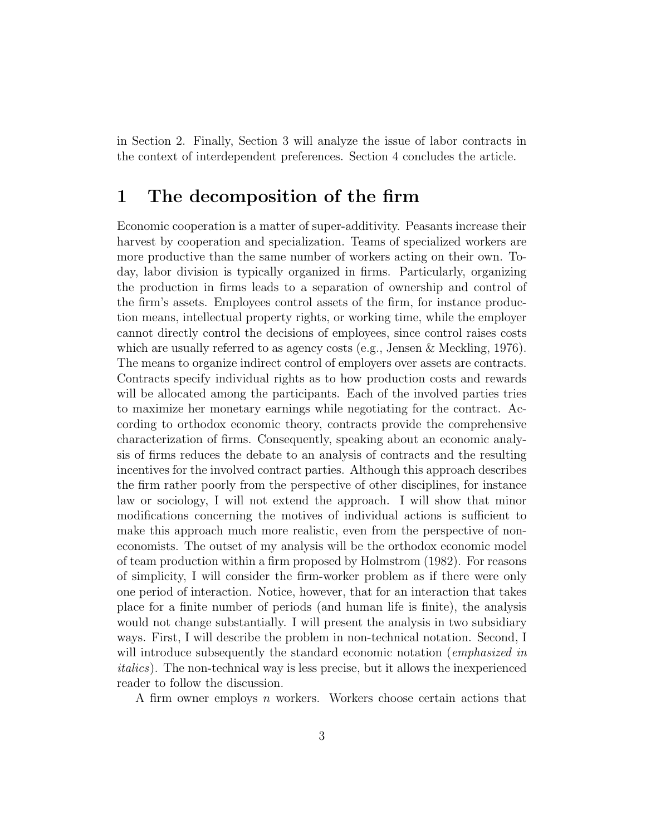in Section 2. Finally, Section 3 will analyze the issue of labor contracts in the context of interdependent preferences. Section 4 concludes the article.

### 1 The decomposition of the firm

Economic cooperation is a matter of super-additivity. Peasants increase their harvest by cooperation and specialization. Teams of specialized workers are more productive than the same number of workers acting on their own. Today, labor division is typically organized in firms. Particularly, organizing the production in firms leads to a separation of ownership and control of the firm's assets. Employees control assets of the firm, for instance production means, intellectual property rights, or working time, while the employer cannot directly control the decisions of employees, since control raises costs which are usually referred to as agency costs (e.g., Jensen & Meckling, 1976). The means to organize indirect control of employers over assets are contracts. Contracts specify individual rights as to how production costs and rewards will be allocated among the participants. Each of the involved parties tries to maximize her monetary earnings while negotiating for the contract. According to orthodox economic theory, contracts provide the comprehensive characterization of firms. Consequently, speaking about an economic analysis of firms reduces the debate to an analysis of contracts and the resulting incentives for the involved contract parties. Although this approach describes the firm rather poorly from the perspective of other disciplines, for instance law or sociology, I will not extend the approach. I will show that minor modifications concerning the motives of individual actions is sufficient to make this approach much more realistic, even from the perspective of noneconomists. The outset of my analysis will be the orthodox economic model of team production within a firm proposed by Holmstrom (1982). For reasons of simplicity, I will consider the firm-worker problem as if there were only one period of interaction. Notice, however, that for an interaction that takes place for a finite number of periods (and human life is finite), the analysis would not change substantially. I will present the analysis in two subsidiary ways. First, I will describe the problem in non-technical notation. Second, I will introduce subsequently the standard economic notation (*emphasized in* italics). The non-technical way is less precise, but it allows the inexperienced reader to follow the discussion.

A firm owner employs n workers. Workers choose certain actions that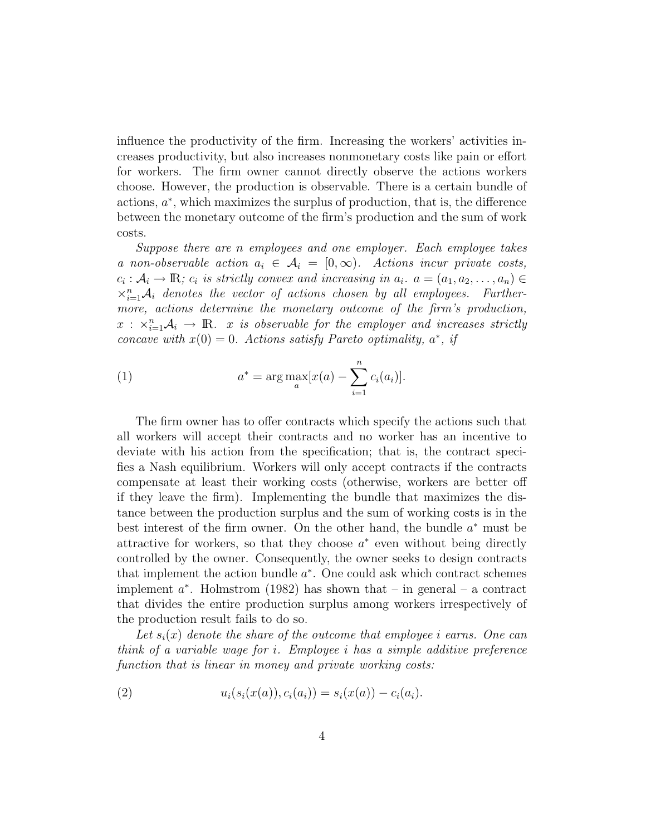influence the productivity of the firm. Increasing the workers' activities increases productivity, but also increases nonmonetary costs like pain or effort for workers. The firm owner cannot directly observe the actions workers choose. However, the production is observable. There is a certain bundle of  $\alpha^*$ , which maximizes the surplus of production, that is, the difference between the monetary outcome of the firm's production and the sum of work costs.

Suppose there are n employees and one employer. Each employee takes a non-observable action  $a_i \in \mathcal{A}_i = [0,\infty)$ . Actions incur private costs,  $c_i: \mathcal{A}_i \to \mathbb{R}$ ;  $c_i$  is strictly convex and increasing in  $a_i$ .  $a = (a_1, a_2, \ldots, a_n) \in$  $\times_{i=1}^n \mathcal{A}_i$  denotes the vector of actions chosen by all employees. Furthermore, actions determine the monetary outcome of the firm's production,  $x : \times_{i=1}^n \mathcal{A}_i \to \mathbb{R}$ . x is observable for the employer and increases strictly concave with  $x(0) = 0$ . Actions satisfy Pareto optimality,  $a^*$ , if

(1) 
$$
a^* = \arg \max_a [x(a) - \sum_{i=1}^n c_i(a_i)].
$$

The firm owner has to offer contracts which specify the actions such that all workers will accept their contracts and no worker has an incentive to deviate with his action from the specification; that is, the contract specifies a Nash equilibrium. Workers will only accept contracts if the contracts compensate at least their working costs (otherwise, workers are better off if they leave the firm). Implementing the bundle that maximizes the distance between the production surplus and the sum of working costs is in the best interest of the firm owner. On the other hand, the bundle  $a^*$  must be attractive for workers, so that they choose  $a^*$  even without being directly controlled by the owner. Consequently, the owner seeks to design contracts that implement the action bundle  $a^*$ . One could ask which contract schemes implement  $a^*$ . Holmstrom (1982) has shown that – in general – a contract that divides the entire production surplus among workers irrespectively of the production result fails to do so.

Let  $s_i(x)$  denote the share of the outcome that employee i earns. One can think of a variable wage for i. Employee i has a simple additive preference function that is linear in money and private working costs:

(2) 
$$
u_i(s_i(x(a)), c_i(a_i)) = s_i(x(a)) - c_i(a_i).
$$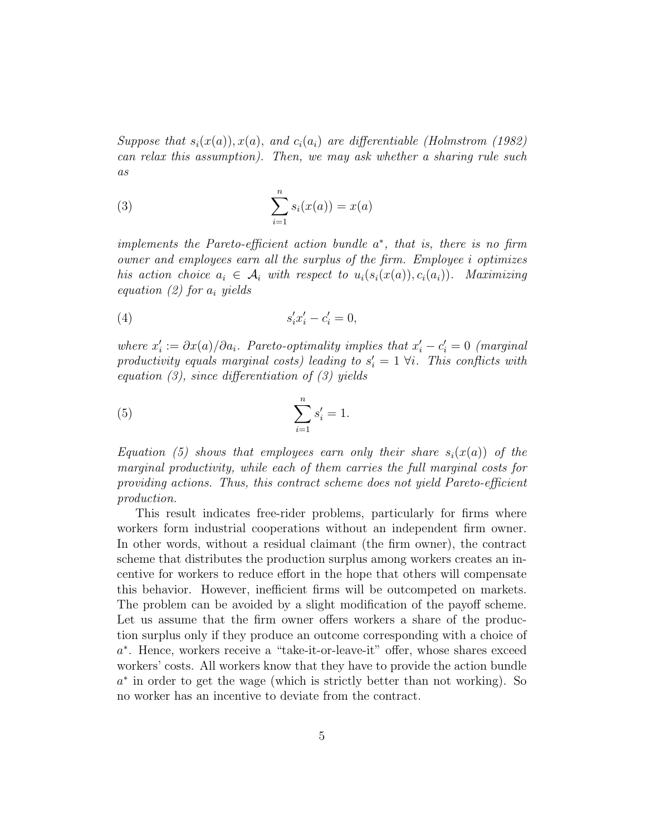Suppose that  $s_i(x(a)), x(a),$  and  $c_i(a_i)$  are differentiable (Holmstrom (1982) can relax this assumption). Then, we may ask whether a sharing rule such as

(3) 
$$
\sum_{i=1}^{n} s_i(x(a)) = x(a)
$$

implements the Pareto-efficient action bundle  $a^*$ , that is, there is no firm owner and employees earn all the surplus of the firm. Employee i optimizes his action choice  $a_i \in \mathcal{A}_i$  with respect to  $u_i(s_i(x(a)), c_i(a_i))$ . Maximizing equation (2) for  $a_i$  yields

$$
(4) \qquad \qquad s_i' x_i' - c_i' = 0,
$$

where  $x'_i := \partial x(a)/\partial a_i$ . Pareto-optimality implies that  $x'_i - c'_i = 0$  (marginal productivity equals marginal costs) leading to  $s_i' = 1 \forall i$ . This conflicts with equation  $(3)$ , since differentiation of  $(3)$  yields

(5) 
$$
\sum_{i=1}^{n} s'_i = 1.
$$

Equation (5) shows that employees earn only their share  $s_i(x(a))$  of the marginal productivity, while each of them carries the full marginal costs for providing actions. Thus, this contract scheme does not yield Pareto-efficient production.

This result indicates free-rider problems, particularly for firms where workers form industrial cooperations without an independent firm owner. In other words, without a residual claimant (the firm owner), the contract scheme that distributes the production surplus among workers creates an incentive for workers to reduce effort in the hope that others will compensate this behavior. However, inefficient firms will be outcompeted on markets. The problem can be avoided by a slight modification of the payoff scheme. Let us assume that the firm owner offers workers a share of the production surplus only if they produce an outcome corresponding with a choice of a ∗ . Hence, workers receive a "take-it-or-leave-it" offer, whose shares exceed workers' costs. All workers know that they have to provide the action bundle a ∗ in order to get the wage (which is strictly better than not working). So no worker has an incentive to deviate from the contract.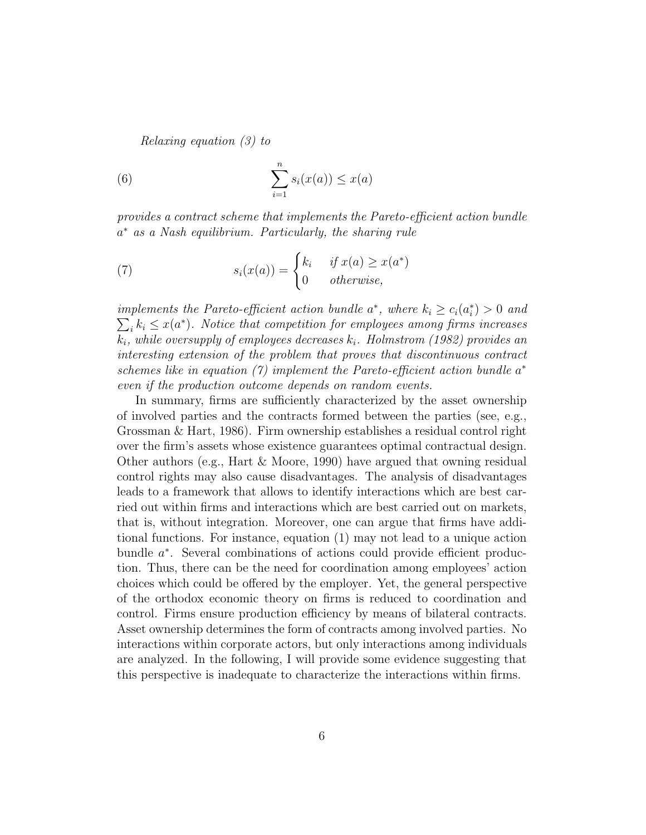Relaxing equation (3) to

(6) 
$$
\sum_{i=1}^{n} s_i(x(a)) \leq x(a)
$$

provides a contract scheme that implements the Pareto-efficient action bundle a <sup>∗</sup> as a Nash equilibrium. Particularly, the sharing rule

(7) 
$$
s_i(x(a)) = \begin{cases} k_i & \text{if } x(a) \ge x(a^*)\\ 0 & \text{otherwise,} \end{cases}
$$

implements the Pareto-efficient action bundle  $a^*$ , where  $k_i \geq c_i(a_i^*) > 0$  and  $\sum_i k_i \leq x(a^*)$ . Notice that competition for employees among firms increases  $k_i$ , while oversupply of employees decreases  $k_i$ . Holmstrom (1982) provides an interesting extension of the problem that proves that discontinuous contract schemes like in equation  $(7)$  implement the Pareto-efficient action bundle  $a^*$ even if the production outcome depends on random events.

In summary, firms are sufficiently characterized by the asset ownership of involved parties and the contracts formed between the parties (see, e.g., Grossman & Hart, 1986). Firm ownership establishes a residual control right over the firm's assets whose existence guarantees optimal contractual design. Other authors (e.g., Hart & Moore, 1990) have argued that owning residual control rights may also cause disadvantages. The analysis of disadvantages leads to a framework that allows to identify interactions which are best carried out within firms and interactions which are best carried out on markets, that is, without integration. Moreover, one can argue that firms have additional functions. For instance, equation (1) may not lead to a unique action bundle  $a^*$ . Several combinations of actions could provide efficient production. Thus, there can be the need for coordination among employees' action choices which could be offered by the employer. Yet, the general perspective of the orthodox economic theory on firms is reduced to coordination and control. Firms ensure production efficiency by means of bilateral contracts. Asset ownership determines the form of contracts among involved parties. No interactions within corporate actors, but only interactions among individuals are analyzed. In the following, I will provide some evidence suggesting that this perspective is inadequate to characterize the interactions within firms.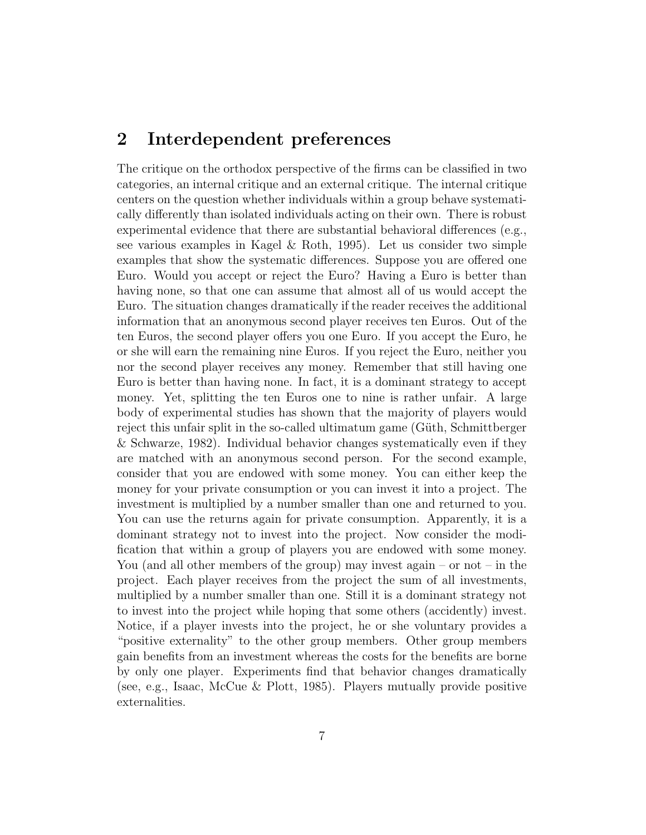### 2 Interdependent preferences

The critique on the orthodox perspective of the firms can be classified in two categories, an internal critique and an external critique. The internal critique centers on the question whether individuals within a group behave systematically differently than isolated individuals acting on their own. There is robust experimental evidence that there are substantial behavioral differences (e.g., see various examples in Kagel  $\&$  Roth, 1995). Let us consider two simple examples that show the systematic differences. Suppose you are offered one Euro. Would you accept or reject the Euro? Having a Euro is better than having none, so that one can assume that almost all of us would accept the Euro. The situation changes dramatically if the reader receives the additional information that an anonymous second player receives ten Euros. Out of the ten Euros, the second player offers you one Euro. If you accept the Euro, he or she will earn the remaining nine Euros. If you reject the Euro, neither you nor the second player receives any money. Remember that still having one Euro is better than having none. In fact, it is a dominant strategy to accept money. Yet, splitting the ten Euros one to nine is rather unfair. A large body of experimental studies has shown that the majority of players would reject this unfair split in the so-called ultimatum game (Güth, Schmittberger & Schwarze, 1982). Individual behavior changes systematically even if they are matched with an anonymous second person. For the second example, consider that you are endowed with some money. You can either keep the money for your private consumption or you can invest it into a project. The investment is multiplied by a number smaller than one and returned to you. You can use the returns again for private consumption. Apparently, it is a dominant strategy not to invest into the project. Now consider the modification that within a group of players you are endowed with some money. You (and all other members of the group) may invest again – or not – in the project. Each player receives from the project the sum of all investments, multiplied by a number smaller than one. Still it is a dominant strategy not to invest into the project while hoping that some others (accidently) invest. Notice, if a player invests into the project, he or she voluntary provides a "positive externality" to the other group members. Other group members gain benefits from an investment whereas the costs for the benefits are borne by only one player. Experiments find that behavior changes dramatically (see, e.g., Isaac, McCue & Plott, 1985). Players mutually provide positive externalities.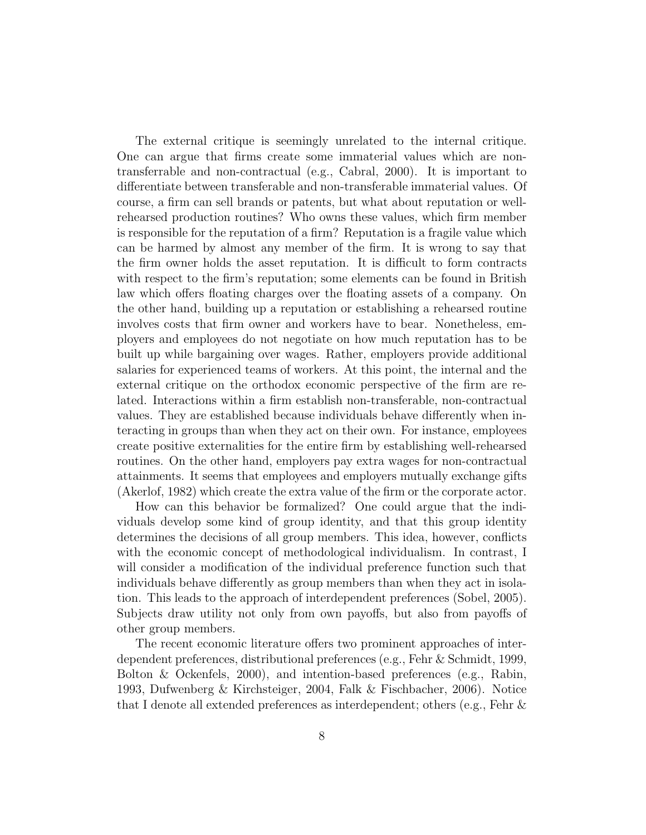The external critique is seemingly unrelated to the internal critique. One can argue that firms create some immaterial values which are nontransferrable and non-contractual (e.g., Cabral, 2000). It is important to differentiate between transferable and non-transferable immaterial values. Of course, a firm can sell brands or patents, but what about reputation or wellrehearsed production routines? Who owns these values, which firm member is responsible for the reputation of a firm? Reputation is a fragile value which can be harmed by almost any member of the firm. It is wrong to say that the firm owner holds the asset reputation. It is difficult to form contracts with respect to the firm's reputation; some elements can be found in British law which offers floating charges over the floating assets of a company. On the other hand, building up a reputation or establishing a rehearsed routine involves costs that firm owner and workers have to bear. Nonetheless, employers and employees do not negotiate on how much reputation has to be built up while bargaining over wages. Rather, employers provide additional salaries for experienced teams of workers. At this point, the internal and the external critique on the orthodox economic perspective of the firm are related. Interactions within a firm establish non-transferable, non-contractual values. They are established because individuals behave differently when interacting in groups than when they act on their own. For instance, employees create positive externalities for the entire firm by establishing well-rehearsed routines. On the other hand, employers pay extra wages for non-contractual attainments. It seems that employees and employers mutually exchange gifts (Akerlof, 1982) which create the extra value of the firm or the corporate actor.

How can this behavior be formalized? One could argue that the individuals develop some kind of group identity, and that this group identity determines the decisions of all group members. This idea, however, conflicts with the economic concept of methodological individualism. In contrast, I will consider a modification of the individual preference function such that individuals behave differently as group members than when they act in isolation. This leads to the approach of interdependent preferences (Sobel, 2005). Subjects draw utility not only from own payoffs, but also from payoffs of other group members.

The recent economic literature offers two prominent approaches of interdependent preferences, distributional preferences (e.g., Fehr & Schmidt, 1999, Bolton & Ockenfels, 2000), and intention-based preferences (e.g., Rabin, 1993, Dufwenberg & Kirchsteiger, 2004, Falk & Fischbacher, 2006). Notice that I denote all extended preferences as interdependent; others (e.g., Fehr &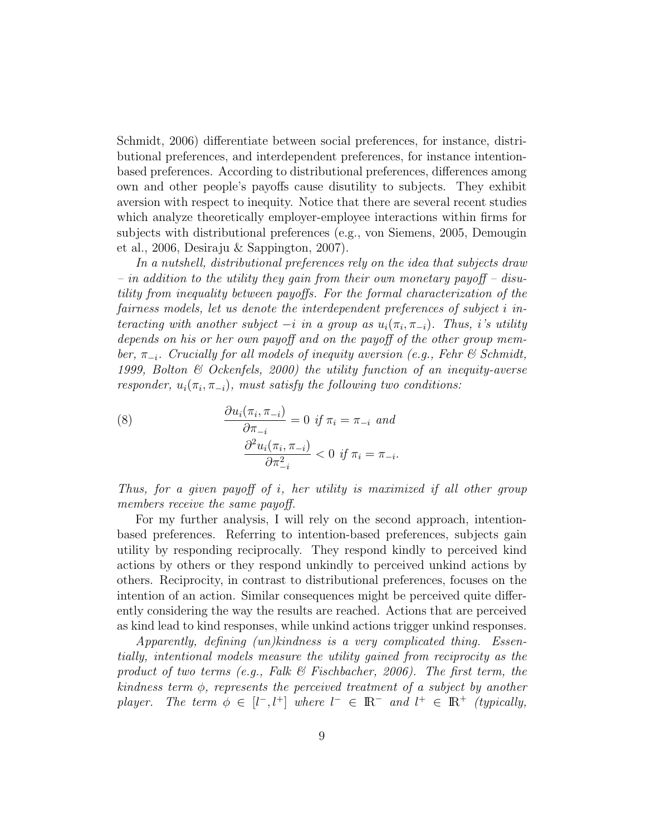Schmidt, 2006) differentiate between social preferences, for instance, distributional preferences, and interdependent preferences, for instance intentionbased preferences. According to distributional preferences, differences among own and other people's payoffs cause disutility to subjects. They exhibit aversion with respect to inequity. Notice that there are several recent studies which analyze theoretically employer-employee interactions within firms for subjects with distributional preferences (e.g., von Siemens, 2005, Demougin et al., 2006, Desiraju & Sappington, 2007).

In a nutshell, distributional preferences rely on the idea that subjects draw – in addition to the utility they gain from their own monetary payoff – disutility from inequality between payoffs. For the formal characterization of the fairness models, let us denote the interdependent preferences of subject i interacting with another subject  $-i$  in a group as  $u_i(\pi_i, \pi_{-i})$ . Thus, i's utility depends on his or her own payoff and on the payoff of the other group member,  $\pi_{-i}$ . Crucially for all models of inequity aversion (e.g., Fehr & Schmidt, 1999, Bolton & Ockenfels, 2000) the utility function of an inequity-averse responder,  $u_i(\pi_i, \pi_{-i})$ , must satisfy the following two conditions:

(8) 
$$
\frac{\partial u_i(\pi_i, \pi_{-i})}{\partial \pi_{-i}} = 0 \text{ if } \pi_i = \pi_{-i} \text{ and}
$$

$$
\frac{\partial^2 u_i(\pi_i, \pi_{-i})}{\partial \pi_{-i}^2} < 0 \text{ if } \pi_i = \pi_{-i}.
$$

Thus, for a given payoff of i, her utility is maximized if all other group members receive the same payoff.

For my further analysis, I will rely on the second approach, intentionbased preferences. Referring to intention-based preferences, subjects gain utility by responding reciprocally. They respond kindly to perceived kind actions by others or they respond unkindly to perceived unkind actions by others. Reciprocity, in contrast to distributional preferences, focuses on the intention of an action. Similar consequences might be perceived quite differently considering the way the results are reached. Actions that are perceived as kind lead to kind responses, while unkind actions trigger unkind responses.

Apparently, defining (un)kindness is a very complicated thing. Essentially, intentional models measure the utility gained from reciprocity as the product of two terms (e.g., Falk  $\mathcal B$  Fischbacher, 2006). The first term, the kindness term  $\phi$ , represents the perceived treatment of a subject by another player. The term  $\phi \in [l^-, l^+]$  where  $l^- \in \mathbb{R}^-$  and  $l^+ \in \mathbb{R}^+$  (typically,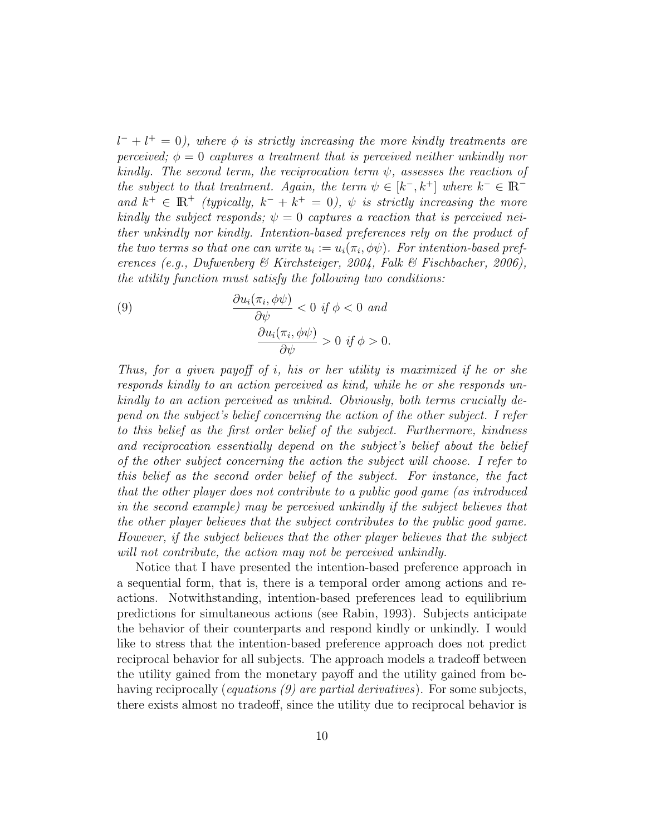$l^- + l^+ = 0$ ), where  $\phi$  is strictly increasing the more kindly treatments are perceived;  $\phi = 0$  captures a treatment that is perceived neither unkindly nor kindly. The second term, the reciprocation term  $\psi$ , assesses the reaction of the subject to that treatment. Again, the term  $\psi \in [k^-, k^+]$  where  $k^- \in \mathbb{R}^$ and  $k^+ \in \mathbb{R}^+$  (typically,  $k^- + k^+ = 0$ ),  $\psi$  is strictly increasing the more kindly the subject responds;  $\psi = 0$  captures a reaction that is perceived neither unkindly nor kindly. Intention-based preferences rely on the product of the two terms so that one can write  $u_i := u_i(\pi_i, \phi\psi)$ . For intention-based preferences (e.g., Dufwenberg & Kirchsteiger, 2004, Falk & Fischbacher, 2006), the utility function must satisfy the following two conditions:

(9) 
$$
\frac{\partial u_i(\pi_i, \phi \psi)}{\partial \psi} < 0 \text{ if } \phi < 0 \text{ and}
$$

$$
\frac{\partial u_i(\pi_i, \phi \psi)}{\partial \psi} > 0 \text{ if } \phi > 0.
$$

Thus, for a given payoff of  $i$ , his or her utility is maximized if he or she responds kindly to an action perceived as kind, while he or she responds unkindly to an action perceived as unkind. Obviously, both terms crucially depend on the subject's belief concerning the action of the other subject. I refer to this belief as the first order belief of the subject. Furthermore, kindness and reciprocation essentially depend on the subject's belief about the belief of the other subject concerning the action the subject will choose. I refer to this belief as the second order belief of the subject. For instance, the fact that the other player does not contribute to a public good game (as introduced in the second example) may be perceived unkindly if the subject believes that the other player believes that the subject contributes to the public good game. However, if the subject believes that the other player believes that the subject will not contribute, the action may not be perceived unkindly.

Notice that I have presented the intention-based preference approach in a sequential form, that is, there is a temporal order among actions and reactions. Notwithstanding, intention-based preferences lead to equilibrium predictions for simultaneous actions (see Rabin, 1993). Subjects anticipate the behavior of their counterparts and respond kindly or unkindly. I would like to stress that the intention-based preference approach does not predict reciprocal behavior for all subjects. The approach models a tradeoff between the utility gained from the monetary payoff and the utility gained from behaving reciprocally (*equations (9)* are partial derivatives). For some subjects, there exists almost no tradeoff, since the utility due to reciprocal behavior is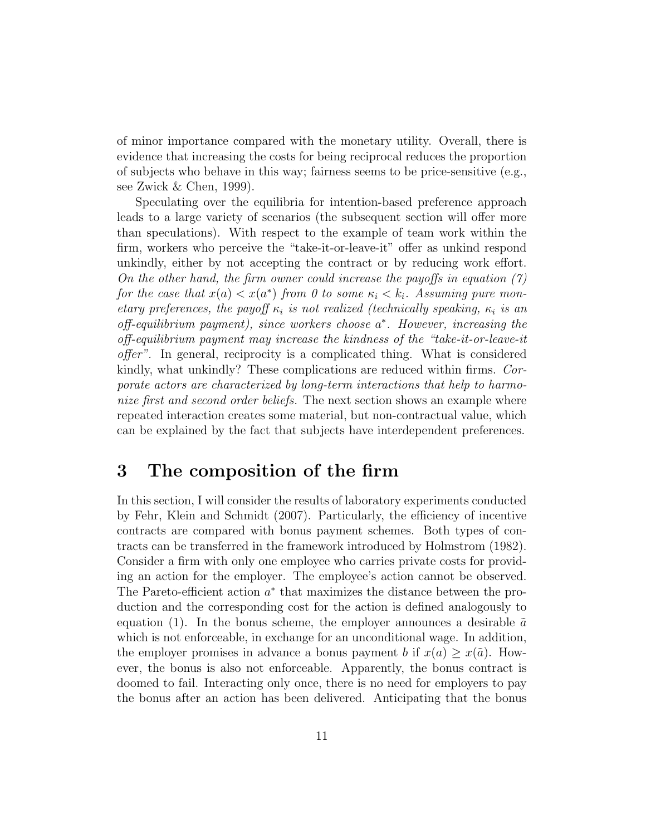of minor importance compared with the monetary utility. Overall, there is evidence that increasing the costs for being reciprocal reduces the proportion of subjects who behave in this way; fairness seems to be price-sensitive (e.g., see Zwick & Chen, 1999).

Speculating over the equilibria for intention-based preference approach leads to a large variety of scenarios (the subsequent section will offer more than speculations). With respect to the example of team work within the firm, workers who perceive the "take-it-or-leave-it" offer as unkind respond unkindly, either by not accepting the contract or by reducing work effort. On the other hand, the firm owner could increase the payoffs in equation  $(7)$ for the case that  $x(a) < x(a^*)$  from 0 to some  $\kappa_i < \kappa_i$ . Assuming pure monetary preferences, the payoff  $\kappa_i$  is not realized (technically speaking,  $\kappa_i$  is an  $off-equilibrium\ payment)$ , since workers choose  $a^*$ . However, increasing the off-equilibrium payment may increase the kindness of the "take-it-or-leave-it offer". In general, reciprocity is a complicated thing. What is considered kindly, what unkindly? These complications are reduced within firms. Corporate actors are characterized by long-term interactions that help to harmonize first and second order beliefs. The next section shows an example where repeated interaction creates some material, but non-contractual value, which can be explained by the fact that subjects have interdependent preferences.

## 3 The composition of the firm

In this section, I will consider the results of laboratory experiments conducted by Fehr, Klein and Schmidt (2007). Particularly, the efficiency of incentive contracts are compared with bonus payment schemes. Both types of contracts can be transferred in the framework introduced by Holmstrom (1982). Consider a firm with only one employee who carries private costs for providing an action for the employer. The employee's action cannot be observed. The Pareto-efficient action  $a^*$  that maximizes the distance between the production and the corresponding cost for the action is defined analogously to equation (1). In the bonus scheme, the employer announces a desirable  $\tilde{a}$ which is not enforceable, in exchange for an unconditional wage. In addition, the employer promises in advance a bonus payment b if  $x(a) > x(\tilde{a})$ . However, the bonus is also not enforceable. Apparently, the bonus contract is doomed to fail. Interacting only once, there is no need for employers to pay the bonus after an action has been delivered. Anticipating that the bonus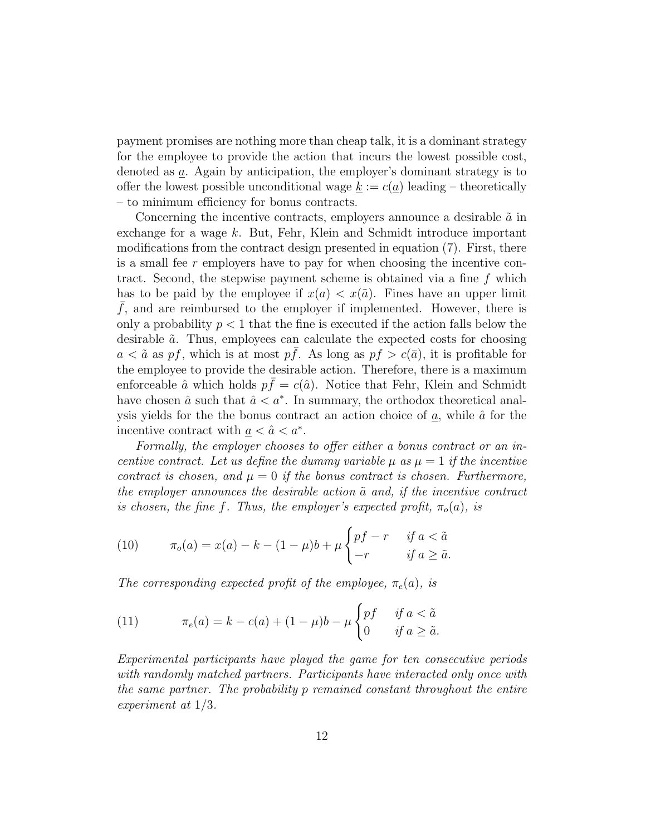payment promises are nothing more than cheap talk, it is a dominant strategy for the employee to provide the action that incurs the lowest possible cost, denoted as a. Again by anticipation, the employer's dominant strategy is to offer the lowest possible unconditional wage  $k := c(a)$  leading – theoretically – to minimum efficiency for bonus contracts.

Concerning the incentive contracts, employers announce a desirable  $\tilde{a}$  in exchange for a wage k. But, Fehr, Klein and Schmidt introduce important modifications from the contract design presented in equation (7). First, there is a small fee  $r$  employers have to pay for when choosing the incentive contract. Second, the stepwise payment scheme is obtained via a fine f which has to be paid by the employee if  $x(a) < x(\tilde{a})$ . Fines have an upper limit  $f$ , and are reimbursed to the employer if implemented. However, there is only a probability  $p < 1$  that the fine is executed if the action falls below the desirable  $\tilde{a}$ . Thus, employees can calculate the expected costs for choosing  $a < \tilde{a}$  as pf, which is at most pf. As long as pf  $> c(\bar{a})$ , it is profitable for the employee to provide the desirable action. Therefore, there is a maximum enforceable  $\hat{a}$  which holds  $p\bar{f} = c(\hat{a})$ . Notice that Fehr, Klein and Schmidt have chosen  $\hat{a}$  such that  $\hat{a} < a^*$ . In summary, the orthodox theoretical analysis yields for the the bonus contract an action choice of  $\underline{a}$ , while  $\hat{a}$  for the incentive contract with  $\underline{a} < \hat{a} < a^*$ .

Formally, the employer chooses to offer either a bonus contract or an incentive contract. Let us define the dummy variable  $\mu$  as  $\mu = 1$  if the incentive contract is chosen, and  $\mu = 0$  if the bonus contract is chosen. Furthermore, the employer announces the desirable action  $\tilde{a}$  and, if the incentive contract is chosen, the fine f. Thus, the employer's expected profit,  $\pi_o(a)$ , is

(10) 
$$
\pi_o(a) = x(a) - k - (1 - \mu)b + \mu \begin{cases} pf - r & \text{if } a < \tilde{a} \\ -r & \text{if } a \ge \tilde{a}. \end{cases}
$$

The corresponding expected profit of the employee,  $\pi_e(a)$ , is

(11) 
$$
\pi_e(a) = k - c(a) + (1 - \mu)b - \mu \begin{cases} pf & \text{if } a < \tilde{a} \\ 0 & \text{if } a \ge \tilde{a}. \end{cases}
$$

Experimental participants have played the game for ten consecutive periods with randomly matched partners. Participants have interacted only once with the same partner. The probability p remained constant throughout the entire experiment at 1/3.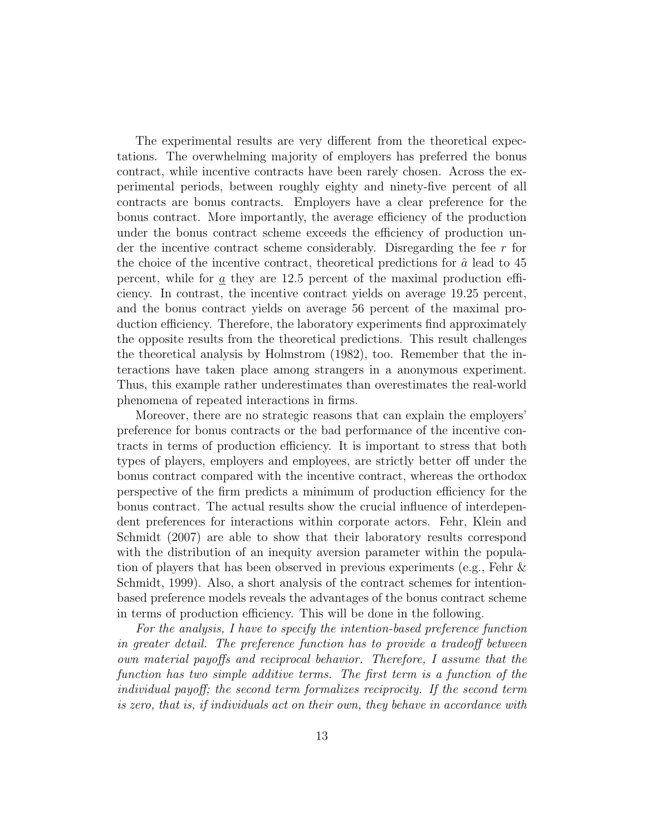The experimental results are very different from the theoretical expectations. The overwhelming majority of employers has preferred the bonus contract, while incentive contracts have been rarely chosen. Across the experimental periods, between roughly eighty and ninety-five percent of all contracts are bonus contracts. Employers have a clear preference for the bonus contract. More importantly, the average efficiency of the production under the bonus contract scheme exceeds the efficiency of production under the incentive contract scheme considerably. Disregarding the fee r for the choice of the incentive contract, theoretical predictions for  $\hat{a}$  lead to 45 percent, while for a they are 12.5 percent of the maximal production efficiency. In contrast, the incentive contract yields on average 19.25 percent, and the bonus contract yields on average 56 percent of the maximal production efficiency. Therefore, the laboratory experiments find approximately the opposite results from the theoretical predictions. This result challenges the theoretical analysis by Holmstrom (1982), too. Remember that the interactions have taken place among strangers in a anonymous experiment. Thus, this example rather underestimates than overestimates the real-world phenomena of repeated interactions in firms.

Moreover, there are no strategic reasons that can explain the employers' preference for bonus contracts or the bad performance of the incentive contracts in terms of production efficiency. It is important to stress that both types of players, employers and employees, are strictly better off under the bonus contract compared with the incentive contract, whereas the orthodox perspective of the firm predicts a minimum of production efficiency for the bonus contract. The actual results show the crucial influence of interdependent preferences for interactions within corporate actors. Fehr, Klein and Schmidt (2007) are able to show that their laboratory results correspond with the distribution of an inequity aversion parameter within the population of players that has been observed in previous experiments (e.g., Fehr & Schmidt, 1999). Also, a short analysis of the contract schemes for intentionbased preference models reveals the advantages of the bonus contract scheme in terms of production efficiency. This will be done in the following.

For the analysis, I have to specify the intention-based preference function in greater detail. The preference function has to provide a tradeoff between own material payoffs and reciprocal behavior. Therefore, I assume that the function has two simple additive terms. The first term is a function of the individual payoff; the second term formalizes reciprocity. If the second term is zero, that is, if individuals act on their own, they behave in accordance with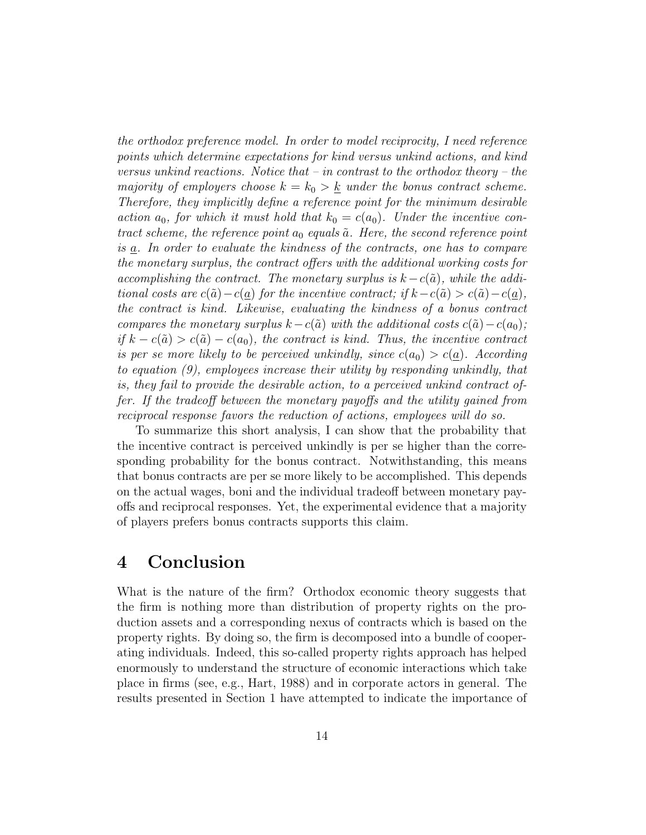the orthodox preference model. In order to model reciprocity, I need reference points which determine expectations for kind versus unkind actions, and kind versus unkind reactions. Notice that – in contrast to the orthodox theory – the majority of employers choose  $k = k_0 > k$  under the bonus contract scheme. Therefore, they implicitly define a reference point for the minimum desirable action  $a_0$ , for which it must hold that  $k_0 = c(a_0)$ . Under the incentive contract scheme, the reference point  $a_0$  equals  $\tilde{a}$ . Here, the second reference point is  $\underline{a}$ . In order to evaluate the kindness of the contracts, one has to compare the monetary surplus, the contract offers with the additional working costs for accomplishing the contract. The monetary surplus is  $k-c(\tilde{a})$ , while the additional costs are  $c(\tilde{a})-c(a)$  for the incentive contract; if  $k-c(\tilde{a})>c(\tilde{a})-c(a)$ , the contract is kind. Likewise, evaluating the kindness of a bonus contract compares the monetary surplus  $k-c(\tilde{a})$  with the additional costs  $c(\tilde{a})-c(a_0);$ if  $k - c(\tilde{a}) > c(\tilde{a}) - c(a_0)$ , the contract is kind. Thus, the incentive contract is per se more likely to be perceived unkindly, since  $c(a_0) > c(a)$ . According to equation (9), employees increase their utility by responding unkindly, that is, they fail to provide the desirable action, to a perceived unkind contract offer. If the tradeoff between the monetary payoffs and the utility gained from reciprocal response favors the reduction of actions, employees will do so.

To summarize this short analysis, I can show that the probability that the incentive contract is perceived unkindly is per se higher than the corresponding probability for the bonus contract. Notwithstanding, this means that bonus contracts are per se more likely to be accomplished. This depends on the actual wages, boni and the individual tradeoff between monetary payoffs and reciprocal responses. Yet, the experimental evidence that a majority of players prefers bonus contracts supports this claim.

#### 4 Conclusion

What is the nature of the firm? Orthodox economic theory suggests that the firm is nothing more than distribution of property rights on the production assets and a corresponding nexus of contracts which is based on the property rights. By doing so, the firm is decomposed into a bundle of cooperating individuals. Indeed, this so-called property rights approach has helped enormously to understand the structure of economic interactions which take place in firms (see, e.g., Hart, 1988) and in corporate actors in general. The results presented in Section 1 have attempted to indicate the importance of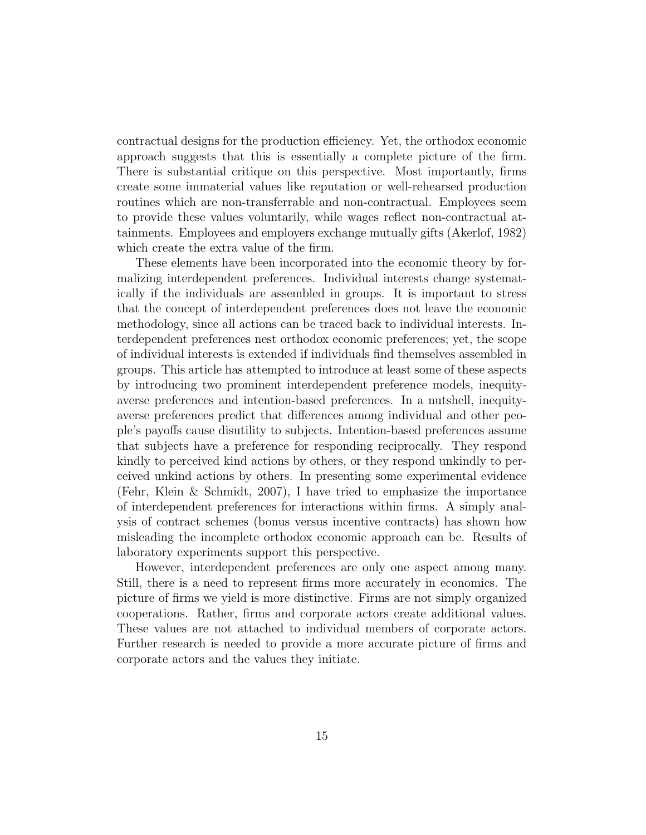contractual designs for the production efficiency. Yet, the orthodox economic approach suggests that this is essentially a complete picture of the firm. There is substantial critique on this perspective. Most importantly, firms create some immaterial values like reputation or well-rehearsed production routines which are non-transferrable and non-contractual. Employees seem to provide these values voluntarily, while wages reflect non-contractual attainments. Employees and employers exchange mutually gifts (Akerlof, 1982) which create the extra value of the firm.

These elements have been incorporated into the economic theory by formalizing interdependent preferences. Individual interests change systematically if the individuals are assembled in groups. It is important to stress that the concept of interdependent preferences does not leave the economic methodology, since all actions can be traced back to individual interests. Interdependent preferences nest orthodox economic preferences; yet, the scope of individual interests is extended if individuals find themselves assembled in groups. This article has attempted to introduce at least some of these aspects by introducing two prominent interdependent preference models, inequityaverse preferences and intention-based preferences. In a nutshell, inequityaverse preferences predict that differences among individual and other people's payoffs cause disutility to subjects. Intention-based preferences assume that subjects have a preference for responding reciprocally. They respond kindly to perceived kind actions by others, or they respond unkindly to perceived unkind actions by others. In presenting some experimental evidence (Fehr, Klein & Schmidt, 2007), I have tried to emphasize the importance of interdependent preferences for interactions within firms. A simply analysis of contract schemes (bonus versus incentive contracts) has shown how misleading the incomplete orthodox economic approach can be. Results of laboratory experiments support this perspective.

However, interdependent preferences are only one aspect among many. Still, there is a need to represent firms more accurately in economics. The picture of firms we yield is more distinctive. Firms are not simply organized cooperations. Rather, firms and corporate actors create additional values. These values are not attached to individual members of corporate actors. Further research is needed to provide a more accurate picture of firms and corporate actors and the values they initiate.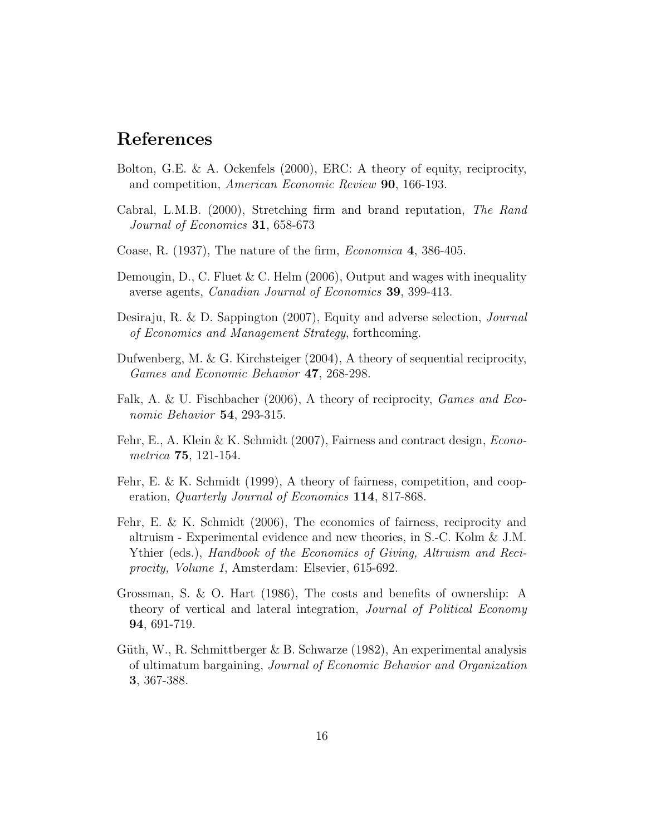### References

- Bolton, G.E. & A. Ockenfels (2000), ERC: A theory of equity, reciprocity, and competition, American Economic Review 90, 166-193.
- Cabral, L.M.B. (2000), Stretching firm and brand reputation, The Rand Journal of Economics 31, 658-673
- Coase, R. (1937), The nature of the firm, Economica 4, 386-405.
- Demougin, D., C. Fluet & C. Helm  $(2006)$ , Output and wages with inequality averse agents, Canadian Journal of Economics 39, 399-413.
- Desiraju, R. & D. Sappington (2007), Equity and adverse selection, Journal of Economics and Management Strategy, forthcoming.
- Dufwenberg, M. & G. Kirchsteiger (2004), A theory of sequential reciprocity, Games and Economic Behavior 47, 268-298.
- Falk, A. & U. Fischbacher (2006), A theory of reciprocity, *Games and Eco*nomic Behavior 54, 293-315.
- Fehr, E., A. Klein & K. Schmidt (2007), Fairness and contract design, Econometrica 75, 121-154.
- Fehr, E. & K. Schmidt (1999), A theory of fairness, competition, and cooperation, Quarterly Journal of Economics 114, 817-868.
- Fehr, E. & K. Schmidt (2006), The economics of fairness, reciprocity and altruism - Experimental evidence and new theories, in S.-C. Kolm & J.M. Ythier (eds.), Handbook of the Economics of Giving, Altruism and Reciprocity, Volume 1, Amsterdam: Elsevier, 615-692.
- Grossman, S. & O. Hart (1986), The costs and benefits of ownership: A theory of vertical and lateral integration, Journal of Political Economy 94, 691-719.
- Güth, W., R. Schmittberger & B. Schwarze (1982), An experimental analysis of ultimatum bargaining, Journal of Economic Behavior and Organization 3, 367-388.